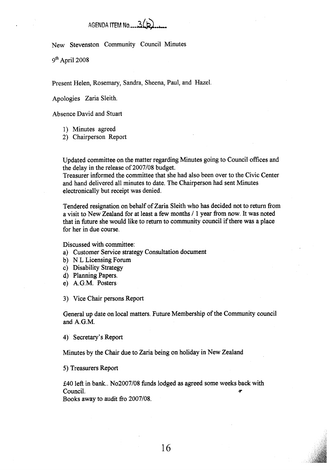## **AGENDA** ITEM **No** .... **3@..,**

New Stevenston Community Council Minutes

9th April 2008

Present Helen, Rosemary, Sandra, Sheena, Paul, and Hazel.

Apologies Zaria Sleith.

Absence David and Stuart

I) Minutes agreed

2) Chairperson Report

Updated committee on the matter regarding Minutes going to Council offices and the delay in the release of 2007/08 budget.

Treasurer informed the committee that she had also been over to the Civic Center and hand delivered all minutes to date. The Chairperson had sent Minutes electronically but receipt was denied.

Tendered resignation on behalf of Zaria Sleith who has decided not to **return** from a visit to New Zealand for at least a few months / 1 year fiom now. It was noted that in future she would like to return to community council if there was a place for her in due course.

Discussed with committee:

- a) Customer Service strategy Consultation document
- b) N L Licensing Forum
- c) Disability Strategy
- d) Planning Papers.
- e) A.G.M. Posters

**3)** Vice Chair persons Report

General **up** date on local matters. Future Membership of the Community council and A.G.M.

**4)** Secretary's Report

Minutes by the Chair due to Zaria being on holiday in New Zealand

*5)* Treasurers Report

£40 left in bank.. No2007/08 funds lodged as agreed some weeks back with Council.

**Books** away to audit fio 2007/08.